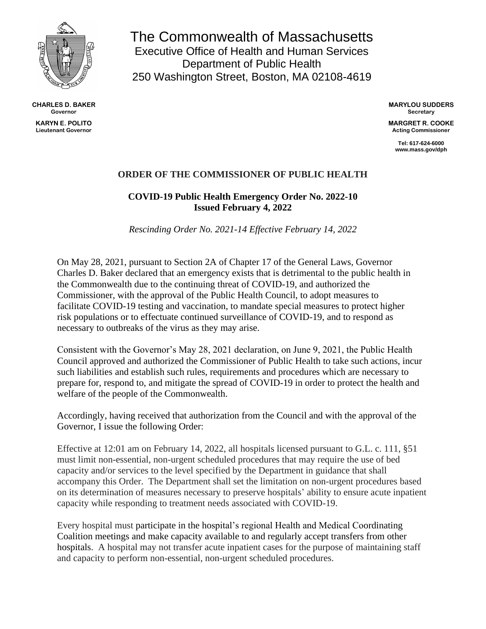

**CHARLES D. BAKER Governor**

**KARYN E. POLITO Lieutenant Governor**

The Commonwealth of Massachusetts Executive Office of Health and Human Services Department of Public Health 250 Washington Street, Boston, MA 02108-4619

> **MARYLOU SUDDERS Secretary**

> **MARGRET R. COOKE Acting Commissioner**

> > **Tel: 617-624-6000 www.mass.gov/dph**

## **ORDER OF THE COMMISSIONER OF PUBLIC HEALTH**

## **COVID-19 Public Health Emergency Order No. 2022-10 Issued February 4, 2022**

*Rescinding Order No. 2021-14 Effective February 14, 2022*

On May 28, 2021, pursuant to Section 2A of Chapter 17 of the General Laws, Governor Charles D. Baker declared that an emergency exists that is detrimental to the public health in the Commonwealth due to the continuing threat of COVID-19, and authorized the Commissioner, with the approval of the Public Health Council, to adopt measures to facilitate COVID-19 testing and vaccination, to mandate special measures to protect higher risk populations or to effectuate continued surveillance of COVID-19, and to respond as necessary to outbreaks of the virus as they may arise.

Consistent with the Governor's May 28, 2021 declaration, on June 9, 2021, the Public Health Council approved and authorized the Commissioner of Public Health to take such actions, incur such liabilities and establish such rules, requirements and procedures which are necessary to prepare for, respond to, and mitigate the spread of COVID-19 in order to protect the health and welfare of the people of the Commonwealth.

Accordingly, having received that authorization from the Council and with the approval of the Governor, I issue the following Order:

Effective at 12:01 am on February 14, 2022, all hospitals licensed pursuant to G.L. c. 111, §51 must limit non-essential, non-urgent scheduled procedures that may require the use of bed capacity and/or services to the level specified by the Department in guidance that shall accompany this Order. The Department shall set the limitation on non-urgent procedures based on its determination of measures necessary to preserve hospitals' ability to ensure acute inpatient capacity while responding to treatment needs associated with COVID-19.

Every hospital must participate in the hospital's regional Health and Medical Coordinating Coalition meetings and make capacity available to and regularly accept transfers from other hospitals. A hospital may not transfer acute inpatient cases for the purpose of maintaining staff and capacity to perform non-essential, non-urgent scheduled procedures.